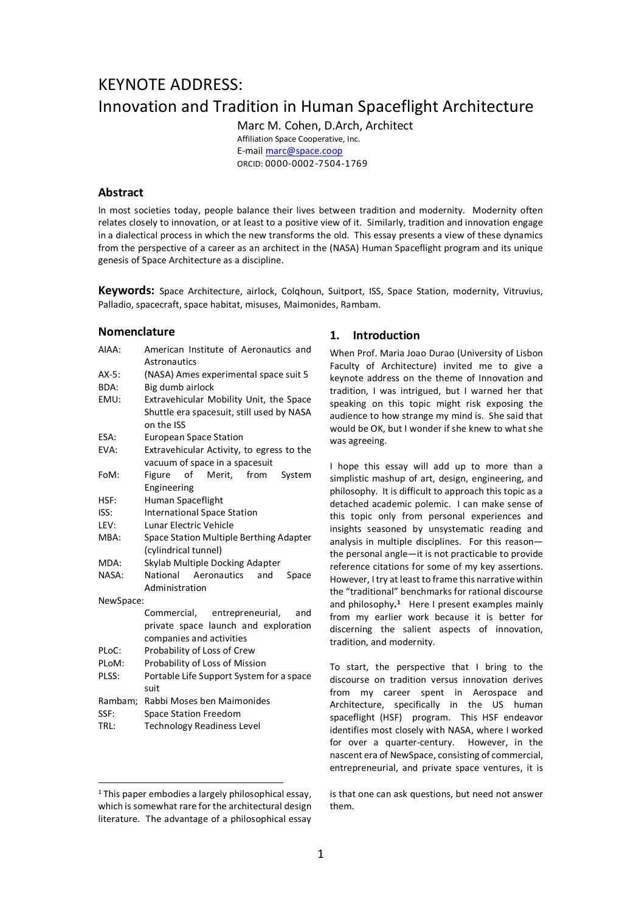# KEYNOTE ADDRESS: Innovation and Tradition in Human Spaceflight Architecture

Marc M. Cohen, D.Arch, Architect Affiliation Space Cooperative, Inc. E-mail marc@space.coop ORCID: 0000-0002-7504-1769

### **Abstract**

In most societies today, people balance their lives between tradition and modernity. Modernity often relates closely to innovation, or at least to a positive view of it. Similarly, tradition and innovation engage in a dialectical process in which the new transforms the old. This essay presents a view of these dynamics from the perspective of a career as an architect in the (NASA) Human Spaceflight program and its unique genesis of Space Architecture as a discipline.

**Keywords:** Space Architecture, airlock, Colqhoun, Suitport, ISS, Space Station, modernity, Vitruvius, Palladio, spacecraft, space habitat, misuses, Maimonides, Rambam.

### **Nomenclature**

| AIAA:     | American Institute of Aeronautics and     |  |  |
|-----------|-------------------------------------------|--|--|
|           | Astronautics                              |  |  |
| $AX-5$ :  | (NASA) Ames experimental space suit 5     |  |  |
| BDA:      | Big dumb airlock                          |  |  |
| EMU:      | Extravehicular Mobility Unit, the Space   |  |  |
|           | Shuttle era spacesuit, still used by NASA |  |  |
|           | on the ISS                                |  |  |
| ESA:      | <b>European Space Station</b>             |  |  |
| EVA:      | Extravehicular Activity, to egress to the |  |  |
|           | vacuum of space in a spacesuit            |  |  |
| FoM:      | of<br>Merit, from<br>Figure<br>System     |  |  |
|           | Engineering                               |  |  |
| HSF:      | Human Spaceflight                         |  |  |
| ISS:      | <b>International Space Station</b>        |  |  |
| LEV:      | Lunar Electric Vehicle                    |  |  |
| MBA:      | Space Station Multiple Berthing Adapter   |  |  |
|           | (cylindrical tunnel)                      |  |  |
| MDA:      | Skylab Multiple Docking Adapter           |  |  |
| NASA:     | National<br>Aeronautics<br>and<br>Space   |  |  |
|           | Administration                            |  |  |
| NewSpace: |                                           |  |  |
|           | Commercial, entrepreneurial,<br>and       |  |  |
|           | private space launch and exploration      |  |  |
|           | companies and activities                  |  |  |
| PLoC:     | Probability of Loss of Crew               |  |  |
| PLoM:     | Probability of Loss of Mission            |  |  |
| PLSS:     | Portable Life Support System for a space  |  |  |
|           | suit                                      |  |  |
| Rambam;   | Rabbi Moses ben Maimonides                |  |  |
| SSF:      | <b>Space Station Freedom</b>              |  |  |
| TRL:      | <b>Technology Readiness Level</b>         |  |  |

#### **1. Introduction**

When Prof. Maria Joao Durao (University of Lisbon Faculty of Architecture) invited me to give a keynote address on the theme of Innovation and tradition, I was intrigued, but I warned her that speaking on this topic might risk exposing the audience to how strange my mind is. She said that would be OK, but I wonder if she knew to what she was agreeing.

I hope this essay will add up to more than a simplistic mashup of art, design, engineering, and philosophy. It is difficult to approach this topic as a detached academic polemic. I can make sense of this topic only from personal experiences and insights seasoned by unsystematic reading and analysis in multiple disciplines. For this reason the personal angle—it is not practicable to provide reference citations for some of my key assertions. However, I try at least to frame this narrative within the "traditional" benchmarks for rational discourse and philosophy**.1** Here I present examples mainly from my earlier work because it is better for discerning the salient aspects of innovation, tradition, and modernity.

To start, the perspective that I bring to the discourse on tradition versus innovation derives from my career spent in Aerospace and Architecture, specifically in the US human spaceflight (HSF) program. This HSF endeavor identifies most closely with NASA, where I worked for over a quarter-century. However, in the nascent era of NewSpace, consisting of commercial, entrepreneurial, and private space ventures, it is

is that one can ask questions, but need not answer them.

<sup>&</sup>lt;sup>1</sup> This paper embodies a largely philosophical essay. which is somewhat rare for the architectural design literature. The advantage of a philosophical essay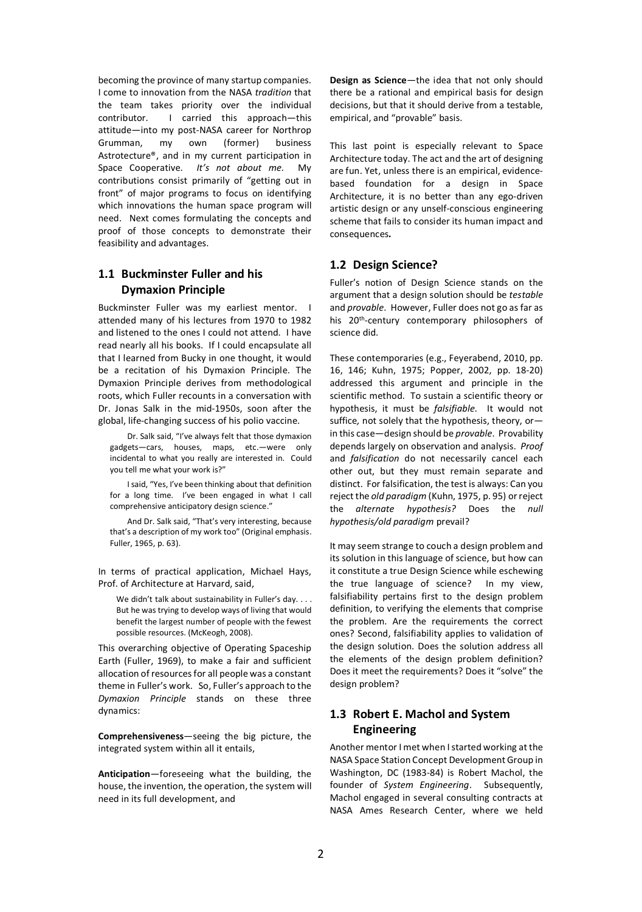becoming the province of many startup companies. I come to innovation from the NASA *tradition* that the team takes priority over the individual contributor. I carried this approach—this attitude—into my post-NASA career for Northrop Grumman, my own (former) business Astrotecture®, and in my current participation in Space Cooperative. *It's not about me.* My contributions consist primarily of "getting out in front" of major programs to focus on identifying which innovations the human space program will need. Next comes formulating the concepts and proof of those concepts to demonstrate their feasibility and advantages.

# **1.1 Buckminster Fuller and his Dymaxion Principle**

Buckminster Fuller was my earliest mentor. I attended many of his lectures from 1970 to 1982 and listened to the ones I could not attend. I have read nearly all his books. If I could encapsulate all that I learned from Bucky in one thought, it would be a recitation of his Dymaxion Principle. The Dymaxion Principle derives from methodological roots, which Fuller recounts in a conversation with Dr. Jonas Salk in the mid-1950s, soon after the global, life-changing success of his polio vaccine.

Dr. Salk said, "I've always felt that those dymaxion gadgets—cars, houses, maps, etc.—were only incidental to what you really are interested in. Could you tell me what your work is?"

I said, "Yes, I've been thinking about that definition for a long time. I've been engaged in what I call comprehensive anticipatory design science."

And Dr. Salk said, "That's very interesting, because that's a description of my work too" (Original emphasis. Fuller, 1965, p. 63).

In terms of practical application, Michael Hays, Prof. of Architecture at Harvard, said,

We didn't talk about sustainability in Fuller's day. . . . But he was trying to develop ways of living that would benefit the largest number of people with the fewest possible resources. (McKeogh, 2008).

This overarching objective of Operating Spaceship Earth (Fuller, 1969), to make a fair and sufficient allocation of resources for all people was a constant theme in Fuller's work. So, Fuller's approach to the *Dymaxion Principle* stands on these three dynamics:

**Comprehensiveness**—seeing the big picture, the integrated system within all it entails,

**Anticipation**—foreseeing what the building, the house, the invention, the operation, the system will need in its full development, and

**Design as Science**—the idea that not only should there be a rational and empirical basis for design decisions, but that it should derive from a testable, empirical, and "provable" basis.

This last point is especially relevant to Space Architecture today. The act and the art of designing are fun. Yet, unless there is an empirical, evidencebased foundation for a design in Space Architecture, it is no better than any ego-driven artistic design or any unself-conscious engineering scheme that fails to consider its human impact and consequences*.* 

# **1.2 Design Science?**

Fuller's notion of Design Science stands on the argument that a design solution should be *testable*  and *provable*. However, Fuller does not go as far as his 20<sup>th</sup>-century contemporary philosophers of science did.

These contemporaries (e.g., Feyerabend, 2010, pp. 16, 146; Kuhn, 1975; Popper, 2002, pp. 18-20) addressed this argument and principle in the scientific method. To sustain a scientific theory or hypothesis, it must be *falsifiable.* It would not suffice*,* not solely that the hypothesis, theory, or in this case—design should be *provable*. Provability depends largely on observation and analysis. *Proof*  and *falsification* do not necessarily cancel each other out, but they must remain separate and distinct. For falsification, the test is always: Can you reject the *old paradigm* (Kuhn, 1975, p. 95) or reject the *alternate hypothesis?* Does the *null hypothesis/old paradigm* prevail?

It may seem strange to couch a design problem and its solution in this language of science, but how can it constitute a true Design Science while eschewing the true language of science? In my view, falsifiability pertains first to the design problem definition, to verifying the elements that comprise the problem. Are the requirements the correct ones? Second, falsifiability applies to validation of the design solution. Does the solution address all the elements of the design problem definition? Does it meet the requirements? Does it "solve" the design problem?

# **1.3 Robert E. Machol and System Engineering**

Another mentor I met when I started working at the NASA Space Station Concept Development Group in Washington, DC (1983-84) is Robert Machol, the founder of *System Engineering*. Subsequently, Machol engaged in several consulting contracts at NASA Ames Research Center, where we held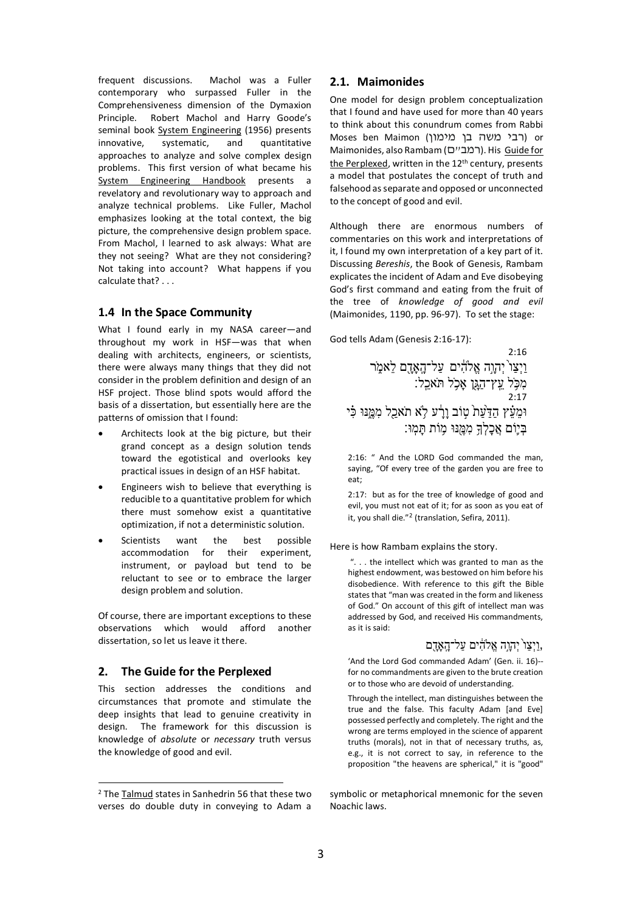frequent discussions. Machol was a Fuller contemporary who surpassed Fuller in the Comprehensiveness dimension of the Dymaxion Principle. Robert Machol and Harry Goode's seminal book System Engineering (1956) presents innovative, systematic, and quantitative approaches to analyze and solve complex design problems. This first version of what became his System Engineering Handbook presents a revelatory and revolutionary way to approach and analyze technical problems. Like Fuller, Machol emphasizes looking at the total context, the big picture, the comprehensive design problem space. From Machol, I learned to ask always: What are they not seeing? What are they not considering? Not taking into account? What happens if you calculate that? . . .

### **1.4 In the Space Community**

What I found early in my NASA career—and throughout my work in HSF—was that when dealing with architects, engineers, or scientists, there were always many things that they did not consider in the problem definition and design of an HSF project. Those blind spots would afford the basis of a dissertation, but essentially here are the patterns of omission that I found:

- Architects look at the big picture, but their grand concept as a design solution tends toward the egotistical and overlooks key practical issues in design of an HSF habitat.
- Engineers wish to believe that everything is reducible to a quantitative problem for which there must somehow exist a quantitative optimization, if not a deterministic solution.
- Scientists want the best possible accommodation for their experiment, instrument, or payload but tend to be reluctant to see or to embrace the larger design problem and solution.

Of course, there are important exceptions to these observations which would afford another dissertation, so let us leave it there.

# **2. The Guide for the Perplexed**

This section addresses the conditions and circumstances that promote and stimulate the deep insights that lead to genuine creativity in design. The framework for this discussion is knowledge of *absolute* or *necessary* truth versus the knowledge of good and evil.

# **2.1. Maimonides**

One model for design problem conceptualization that I found and have used for more than 40 years to think about this conundrum comes from Rabbi Moses ben Maimon (רבי משה בן מימון) or Maimonides, also Rambam (רמב"ח). His Guide for the Perplexed, written in the  $12<sup>th</sup>$  century, presents a model that postulates the concept of truth and falsehood as separate and opposed or unconnected to the concept of good and evil.

Although there are enormous numbers of commentaries on this work and interpretations of it, I found my own interpretation of a key part of it. Discussing *Bereshis*, the Book of Genesis, Rambam explicates the incident of Adam and Eve disobeying God's first command and eating from the fruit of the tree of *knowledge of good and evil* (Maimonides, 1190, pp. 96-97). To set the stage:

God tells Adam (Genesis 2:16-17):

 $2.16$ וַיְצַו´יְהָוָה אֱלֹהִים עַל־הָאָהָם לֵאמֶר מִכָּל עֵץ־הַגָּן אָכְל תֹּאכֵל: 2:17 וּמֵעֵּ֫ץ הַדַּעַת טְוֹב וָרָע לָא תֹאכַל מִמֱנּוּ כִּי בּיִוֹם אַכלְךָ מִמְּנּוּ מְוֹת תַּמְוּ׃

2:16: " And the LORD God commanded the man, saying, "Of every tree of the garden you are free to eat;

2:17: but as for the tree of knowledge of good and evil, you must not eat of it; for as soon as you eat of it, you shall die."<sup>2</sup> (translation, Sefira, 2011).

#### Here is how Rambam explains the story.

". . . the intellect which was granted to man as the highest endowment, was bestowed on him before his disobedience. With reference to this gift the Bible states that "man was created in the form and likeness of God." On account of this gift of intellect man was addressed by God, and received His commandments, as it is said:

# וַיִצַו יְהָוָה אֱלֹהִים עַל־הָאָדֶם,

'And the Lord God commanded Adam' (Gen. ii. 16)- for no commandments are given to the brute creation or to those who are devoid of understanding.

Through the intellect, man distinguishes between the true and the false. This faculty Adam [and Eve] possessed perfectly and completely. The right and the wrong are terms employed in the science of apparent truths (morals), not in that of necessary truths, as, e.g., it is not correct to say, in reference to the proposition "the heavens are spherical," it is "good"

symbolic or metaphorical mnemonic for the seven Noachic laws.

 <sup>2</sup> The Talmud states in Sanhedrin 56 that these two verses do double duty in conveying to Adam a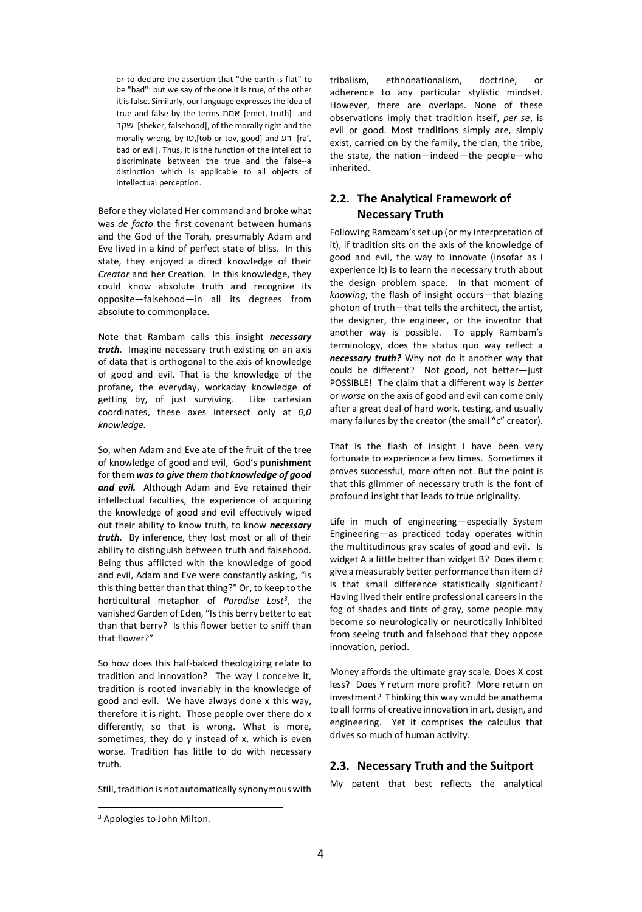or to declare the assertion that "the earth is flat" to be "bad": but we say of the one it is true, of the other it is false. Similarly, our language expresses the idea of true and false by the terms תמא] emet, truth] and רקש] sheker, falsehood], of the morally right and the morally wrong, by ID, [tob or tov, good] and  $V$ 7 [ra', bad or evil]. Thus, it is the function of the intellect to discriminate between the true and the false--a distinction which is applicable to all objects of intellectual perception.

Before they violated Her command and broke what was *de facto* the first covenant between humans and the God of the Torah, presumably Adam and Eve lived in a kind of perfect state of bliss. In this state, they enjoyed a direct knowledge of their *Creator* and her Creation. In this knowledge, they could know absolute truth and recognize its opposite—falsehood—in all its degrees from absolute to commonplace.

Note that Rambam calls this insight *necessary truth*. Imagine necessary truth existing on an axis of data that is orthogonal to the axis of knowledge of good and evil. That is the knowledge of the profane, the everyday, workaday knowledge of getting by, of just surviving. Like cartesian coordinates, these axes intersect only at *0,0 knowledge.*

So, when Adam and Eve ate of the fruit of the tree of knowledge of good and evil, God's **punishment** for them *was to give them that knowledge of good and evil.* Although Adam and Eve retained their intellectual faculties, the experience of acquiring the knowledge of good and evil effectively wiped out their ability to know truth, to know *necessary truth*. By inference, they lost most or all of their ability to distinguish between truth and falsehood. Being thus afflicted with the knowledge of good and evil, Adam and Eve were constantly asking, "Is this thing better than that thing?" Or, to keep to the horticultural metaphor of *Paradise Lost3*, the vanished Garden of Eden, "Is this berry better to eat than that berry? Is this flower better to sniff than that flower?"

So how does this half-baked theologizing relate to tradition and innovation? The way I conceive it, tradition is rooted invariably in the knowledge of good and evil. We have always done x this way, therefore it is right. Those people over there do x differently, so that is wrong. What is more, sometimes, they do y instead of x, which is even worse. Tradition has little to do with necessary truth.

Still, tradition is not automatically synonymous with

tribalism, ethnonationalism, doctrine, or adherence to any particular stylistic mindset. However, there are overlaps. None of these observations imply that tradition itself, *per se*, is evil or good. Most traditions simply are, simply exist, carried on by the family, the clan, the tribe, the state, the nation—indeed—the people—who inherited.

# **2.2. The Analytical Framework of Necessary Truth**

Following Rambam'sset up (or my interpretation of it), if tradition sits on the axis of the knowledge of good and evil, the way to innovate (insofar as I experience it) is to learn the necessary truth about the design problem space. In that moment of *knowing*, the flash of insight occurs—that blazing photon of truth—that tells the architect, the artist, the designer, the engineer, or the inventor that another way is possible. To apply Rambam's terminology, does the status quo way reflect a *necessary truth?* Why not do it another way that could be different? Not good, not better—just POSSIBLE! The claim that a different way is *better* or *worse* on the axis of good and evil can come only after a great deal of hard work, testing, and usually many failures by the creator (the small "c" creator).

That is the flash of insight I have been very fortunate to experience a few times. Sometimes it proves successful, more often not. But the point is that this glimmer of necessary truth is the font of profound insight that leads to true originality.

Life in much of engineering—especially System Engineering—as practiced today operates within the multitudinous gray scales of good and evil. Is widget A a little better than widget B? Does item c give a measurably better performance than item d? Is that small difference statistically significant? Having lived their entire professional careers in the fog of shades and tints of gray, some people may become so neurologically or neurotically inhibited from seeing truth and falsehood that they oppose innovation, period.

Money affords the ultimate gray scale. Does X cost less? Does Y return more profit? More return on investment? Thinking this way would be anathema to all forms of creative innovation in art, design, and engineering. Yet it comprises the calculus that drives so much of human activity.

# **2.3. Necessary Truth and the Suitport**

My patent that best reflects the analytical

<sup>&</sup>lt;sup>3</sup> Apologies to John Milton.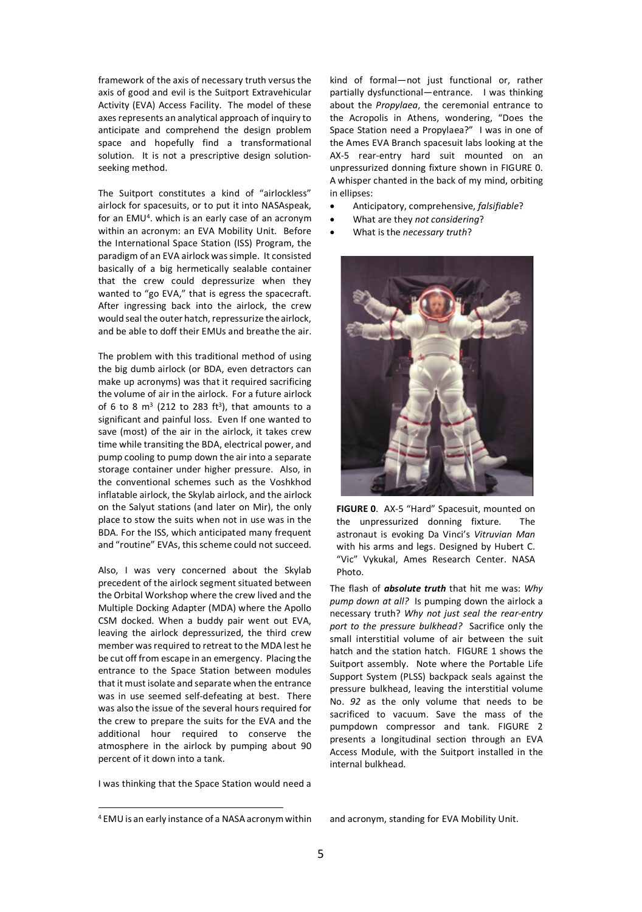framework of the axis of necessary truth versus the axis of good and evil is the Suitport Extravehicular Activity (EVA) Access Facility. The model of these axes represents an analytical approach of inquiry to anticipate and comprehend the design problem space and hopefully find a transformational solution. It is not a prescriptive design solutionseeking method.

The Suitport constitutes a kind of "airlockless" airlock for spacesuits, or to put it into NASAspeak, for an  $EMU<sup>4</sup>$ . which is an early case of an acronym within an acronym: an EVA Mobility Unit. Before the International Space Station (ISS) Program, the paradigm of an EVA airlock was simple. It consisted basically of a big hermetically sealable container that the crew could depressurize when they wanted to "go EVA," that is egress the spacecraft. After ingressing back into the airlock, the crew would seal the outer hatch, repressurize the airlock, and be able to doff their EMUs and breathe the air.

The problem with this traditional method of using the big dumb airlock (or BDA, even detractors can make up acronyms) was that it required sacrificing the volume of air in the airlock. For a future airlock of 6 to 8  $m^3$  (212 to 283 ft<sup>3</sup>), that amounts to a significant and painful loss. Even If one wanted to save (most) of the air in the airlock, it takes crew time while transiting the BDA, electrical power, and pump cooling to pump down the air into a separate storage container under higher pressure. Also, in the conventional schemes such as the Voshkhod inflatable airlock, the Skylab airlock, and the airlock on the Salyut stations (and later on Mir), the only place to stow the suits when not in use was in the BDA. For the ISS, which anticipated many frequent and "routine" EVAs, this scheme could not succeed.

Also, I was very concerned about the Skylab precedent of the airlock segment situated between the Orbital Workshop where the crew lived and the Multiple Docking Adapter (MDA) where the Apollo CSM docked. When a buddy pair went out EVA, leaving the airlock depressurized, the third crew member was required to retreat to the MDA lest he be cut off from escape in an emergency. Placing the entrance to the Space Station between modules that it must isolate and separate when the entrance was in use seemed self-defeating at best. There was also the issue of the several hours required for the crew to prepare the suits for the EVA and the additional hour required to conserve the atmosphere in the airlock by pumping about 90 percent of it down into a tank.

I was thinking that the Space Station would need a

kind of formal—not just functional or, rather partially dysfunctional—entrance. I was thinking about the *Propylaea*, the ceremonial entrance to the Acropolis in Athens, wondering, "Does the Space Station need a Propylaea?" I was in one of the Ames EVA Branch spacesuit labs looking at the AX-5 rear-entry hard suit mounted on an unpressurized donning fixture shown in FIGURE 0. A whisper chanted in the back of my mind, orbiting in ellipses:

- Anticipatory, comprehensive, *falsifiable*?
- What are they *not considering*?
- What is the *necessary truth*?



**FIGURE 0**. AX-5 "Hard" Spacesuit, mounted on the unpressurized donning fixture. The astronaut is evoking Da Vinci's *Vitruvian Man* with his arms and legs. Designed by Hubert C. "Vic" Vykukal, Ames Research Center. NASA Photo.

The flash of *absolute truth* that hit me was: *Why pump down at all?* Is pumping down the airlock a necessary truth? *Why not just seal the rear-entry port to the pressure bulkhead?* Sacrifice only the small interstitial volume of air between the suit hatch and the station hatch. FIGURE 1 shows the Suitport assembly. Note where the Portable Life Support System (PLSS) backpack seals against the pressure bulkhead, leaving the interstitial volume No. *92* as the only volume that needs to be sacrificed to vacuum. Save the mass of the pumpdown compressor and tank. FIGURE 2 presents a longitudinal section through an EVA Access Module, with the Suitport installed in the internal bulkhead.

and acronym, standing for EVA Mobility Unit.

 <sup>4</sup> EMU is an early instance of a NASA acronym within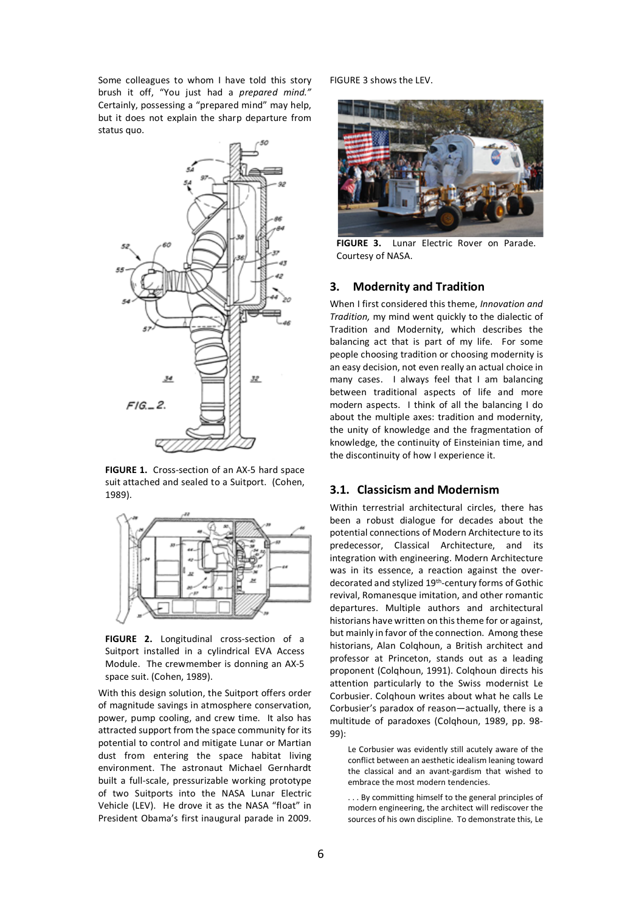Some colleagues to whom I have told this story brush it off, "You just had a *prepared mind."* Certainly, possessing a "prepared mind" may help, but it does not explain the sharp departure from status quo.



**FIGURE 1.** Cross-section of an AX-5 hard space suit attached and sealed to a Suitport. (Cohen, 1989).



**FIGURE 2.** Longitudinal cross-section of a Suitport installed in a cylindrical EVA Access Module. The crewmember is donning an AX-5 space suit. (Cohen, 1989).

With this design solution, the Suitport offers order of magnitude savings in atmosphere conservation, power, pump cooling, and crew time. It also has attracted support from the space community for its potential to control and mitigate Lunar or Martian dust from entering the space habitat living environment. The astronaut Michael Gernhardt built a full-scale, pressurizable working prototype of two Suitports into the NASA Lunar Electric Vehicle (LEV). He drove it as the NASA "float" in President Obama's first inaugural parade in 2009.

FIGURE 3 shows the LEV.



**FIGURE 3.** Lunar Electric Rover on Parade. Courtesy of NASA.

# **3. Modernity and Tradition**

When I first considered this theme, *Innovation and Tradition,* my mind went quickly to the dialectic of Tradition and Modernity, which describes the balancing act that is part of my life. For some people choosing tradition or choosing modernity is an easy decision, not even really an actual choice in many cases. I always feel that I am balancing between traditional aspects of life and more modern aspects. I think of all the balancing I do about the multiple axes: tradition and modernity, the unity of knowledge and the fragmentation of knowledge, the continuity of Einsteinian time, and the discontinuity of how I experience it.

#### **3.1. Classicism and Modernism**

Within terrestrial architectural circles, there has been a robust dialogue for decades about the potential connections of Modern Architecture to its predecessor, Classical Architecture, and its integration with engineering. Modern Architecture was in its essence, a reaction against the overdecorated and stylized 19<sup>th</sup>-century forms of Gothic revival, Romanesque imitation, and other romantic departures. Multiple authors and architectural historians have written on this theme for or against, but mainly in favor of the connection. Among these historians, Alan Colqhoun, a British architect and professor at Princeton, stands out as a leading proponent (Colqhoun, 1991). Colqhoun directs his attention particularly to the Swiss modernist Le Corbusier. Colqhoun writes about what he calls Le Corbusier's paradox of reason—actually, there is a multitude of paradoxes (Colqhoun, 1989, pp. 98- 99):

Le Corbusier was evidently still acutely aware of the conflict between an aesthetic idealism leaning toward the classical and an avant-gardism that wished to embrace the most modern tendencies.

. . . By committing himself to the general principles of modern engineering, the architect will rediscover the sources of his own discipline. To demonstrate this, Le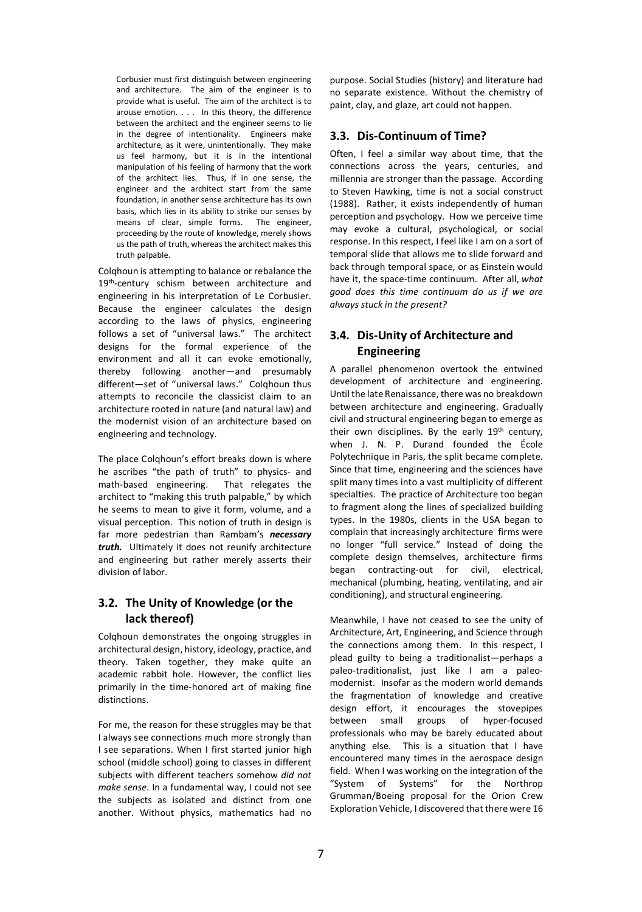Corbusier must first distinguish between engineering and architecture. The aim of the engineer is to provide what is useful. The aim of the architect is to arouse emotion. . . . In this theory, the difference between the architect and the engineer seems to lie in the degree of intentionality. Engineers make architecture, as it were, unintentionally. They make us feel harmony, but it is in the intentional manipulation of his feeling of harmony that the work of the architect lies. Thus, if in one sense, the engineer and the architect start from the same foundation, in another sense architecture has its own basis, which lies in its ability to strike our senses by means of clear, simple forms. The engineer, proceeding by the route of knowledge, merely shows us the path of truth, whereas the architect makes this truth palpable.

Colqhoun is attempting to balance or rebalance the 19<sup>th</sup>-century schism between architecture and engineering in his interpretation of Le Corbusier. Because the engineer calculates the design according to the laws of physics, engineering follows a set of "universal laws." The architect designs for the formal experience of the environment and all it can evoke emotionally, thereby following another—and presumably different—set of "universal laws." Colqhoun thus attempts to reconcile the classicist claim to an architecture rooted in nature (and natural law) and the modernist vision of an architecture based on engineering and technology.

The place Colqhoun's effort breaks down is where he ascribes "the path of truth" to physics- and math-based engineering. That relegates the architect to "making this truth palpable," by which he seems to mean to give it form, volume, and a visual perception. This notion of truth in design is far more pedestrian than Rambam's *necessary truth.* Ultimately it does not reunify architecture and engineering but rather merely asserts their division of labor.

# **3.2. The Unity of Knowledge (or the lack thereof)**

Colqhoun demonstrates the ongoing struggles in architectural design, history, ideology, practice, and theory. Taken together, they make quite an academic rabbit hole. However, the conflict lies primarily in the time-honored art of making fine distinctions.

For me, the reason for these struggles may be that I always see connections much more strongly than I see separations. When I first started junior high school (middle school) going to classes in different subjects with different teachers somehow *did not make sense.* In a fundamental way, I could not see the subjects as isolated and distinct from one another. Without physics, mathematics had no

purpose. Social Studies (history) and literature had no separate existence. Without the chemistry of paint, clay, and glaze, art could not happen.

# **3.3. Dis-Continuum of Time?**

Often, I feel a similar way about time, that the connections across the years, centuries, and millennia are stronger than the passage. According to Steven Hawking, time is not a social construct (1988). Rather, it exists independently of human perception and psychology. How we perceive time may evoke a cultural, psychological, or social response. In this respect, I feel like I am on a sort of temporal slide that allows me to slide forward and back through temporal space, or as Einstein would have it, the space-time continuum. After all, *what good does this time continuum do us if we are always stuck in the present?* 

# **3.4. Dis-Unity of Architecture and Engineering**

A parallel phenomenon overtook the entwined development of architecture and engineering. Until the late Renaissance, there was no breakdown between architecture and engineering. Gradually civil and structural engineering began to emerge as their own disciplines. By the early 19th century, when J. N. P. Durand founded the École Polytechnique in Paris, the split became complete. Since that time, engineering and the sciences have split many times into a vast multiplicity of different specialties. The practice of Architecture too began to fragment along the lines of specialized building types. In the 1980s, clients in the USA began to complain that increasingly architecture firms were no longer "full service." Instead of doing the complete design themselves, architecture firms began contracting-out for civil, electrical, mechanical (plumbing, heating, ventilating, and air conditioning), and structural engineering.

Meanwhile, I have not ceased to see the unity of Architecture, Art, Engineering, and Science through the connections among them. In this respect, I plead guilty to being a traditionalist—perhaps a paleo-traditionalist, just like I am a paleomodernist. Insofar as the modern world demands the fragmentation of knowledge and creative design effort, it encourages the stovepipes between small groups of hyper-focused professionals who may be barely educated about anything else. This is a situation that I have encountered many times in the aerospace design field. When I was working on the integration of the "System of Systems" for the Northrop Grumman/Boeing proposal for the Orion Crew Exploration Vehicle, I discovered that there were 16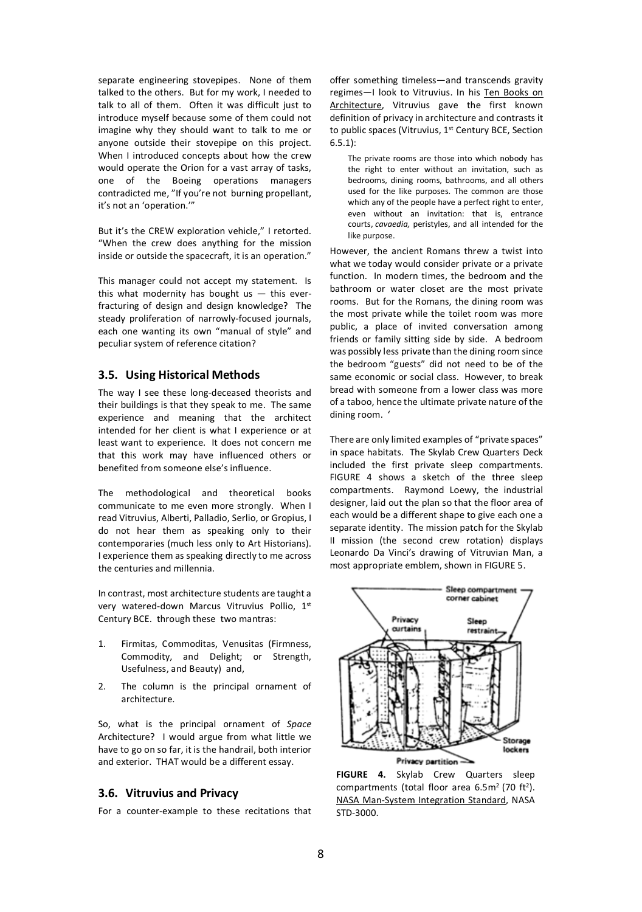separate engineering stovepipes. None of them talked to the others. But for my work, I needed to talk to all of them. Often it was difficult just to introduce myself because some of them could not imagine why they should want to talk to me or anyone outside their stovepipe on this project. When I introduced concepts about how the crew would operate the Orion for a vast array of tasks, one of the Boeing operations managers contradicted me, "If you're not burning propellant, it's not an 'operation.'"

But it's the CREW exploration vehicle," I retorted. "When the crew does anything for the mission inside or outside the spacecraft, it is an operation."

This manager could not accept my statement. Is this what modernity has bought us  $-$  this everfracturing of design and design knowledge? The steady proliferation of narrowly-focused journals, each one wanting its own "manual of style" and peculiar system of reference citation?

### **3.5. Using Historical Methods**

The way I see these long-deceased theorists and their buildings is that they speak to me. The same experience and meaning that the architect intended for her client is what I experience or at least want to experience. It does not concern me that this work may have influenced others or benefited from someone else's influence.

The methodological and theoretical books communicate to me even more strongly. When I read Vitruvius, Alberti, Palladio, Serlio, or Gropius, I do not hear them as speaking only to their contemporaries (much less only to Art Historians). I experience them as speaking directly to me across the centuries and millennia.

In contrast, most architecture students are taught a very watered-down Marcus Vitruvius Pollio, 1st Century BCE. through these two mantras:

- 1. Firmitas, Commoditas, Venusitas (Firmness, Commodity, and Delight; or Strength, Usefulness, and Beauty) and,
- 2. The column is the principal ornament of architecture.

So, what is the principal ornament of *Space*  Architecture? I would argue from what little we have to go on so far, it is the handrail, both interior and exterior. THAT would be a different essay.

#### **3.6. Vitruvius and Privacy**

For a counter-example to these recitations that

offer something timeless—and transcends gravity regimes—I look to Vitruvius. In his Ten Books on Architecture, Vitruvius gave the first known definition of privacy in architecture and contrasts it to public spaces (Vitruvius, 1<sup>st</sup> Century BCE, Section 6.5.1):

The private rooms are those into which nobody has the right to enter without an invitation, such as bedrooms, dining rooms, bathrooms, and all others used for the like purposes. The common are those which any of the people have a perfect right to enter, even without an invitation: that is, entrance courts, *cavaedia,* peristyles, and all intended for the like purpose.

However, the ancient Romans threw a twist into what we today would consider private or a private function. In modern times, the bedroom and the bathroom or water closet are the most private rooms. But for the Romans, the dining room was the most private while the toilet room was more public, a place of invited conversation among friends or family sitting side by side. A bedroom was possibly less private than the dining room since the bedroom "guests" did not need to be of the same economic or social class. However, to break bread with someone from a lower class was more of a taboo, hence the ultimate private nature of the dining room. '

There are only limited examples of "private spaces" in space habitats. The Skylab Crew Quarters Deck included the first private sleep compartments. FIGURE 4 shows a sketch of the three sleep compartments. Raymond Loewy, the industrial designer, laid out the plan so that the floor area of each would be a different shape to give each one a separate identity. The mission patch for the Skylab II mission (the second crew rotation) displays Leonardo Da Vinci's drawing of Vitruvian Man, a most appropriate emblem, shown in FIGURE 5.



**FIGURE 4.** Skylab Crew Quarters sleep compartments (total floor area  $6.5m<sup>2</sup>$  (70 ft<sup>2</sup>). NASA Man-System Integration Standard, NASA STD-3000.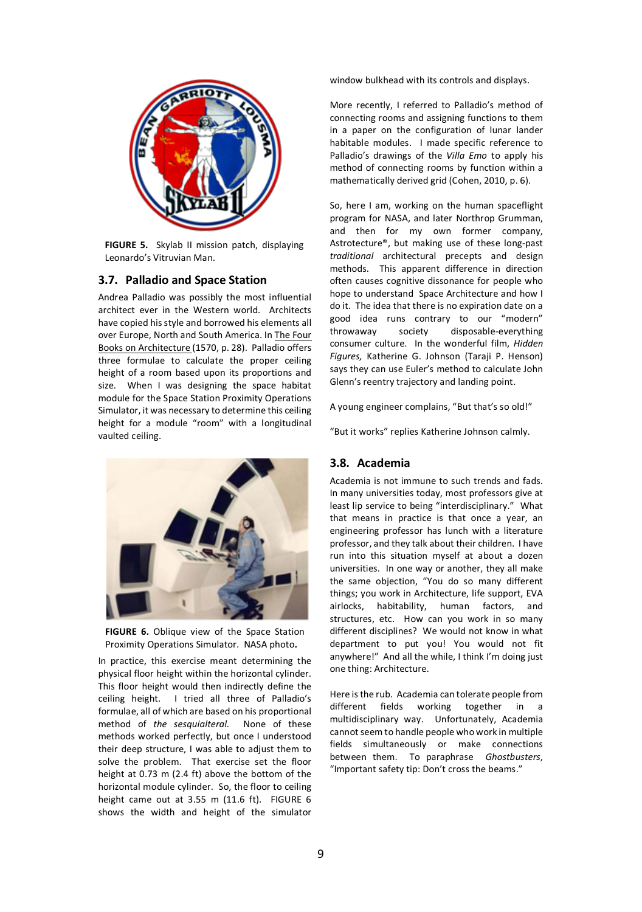

**FIGURE 5.** Skylab II mission patch, displaying Leonardo's Vitruvian Man.

# **3.7. Palladio and Space Station**

Andrea Palladio was possibly the most influential architect ever in the Western world. Architects have copied his style and borrowed his elements all over Europe, North and South America. In The Four Books on Architecture (1570, p. 28). Palladio offers three formulae to calculate the proper ceiling height of a room based upon its proportions and size. When I was designing the space habitat module for the Space Station Proximity Operations Simulator, it was necessary to determine this ceiling height for a module "room" with a longitudinal vaulted ceiling.



**FIGURE 6.** Oblique view of the Space Station Proximity Operations Simulator. NASA photo**.**

In practice, this exercise meant determining the physical floor height within the horizontal cylinder. This floor height would then indirectly define the ceiling height. I tried all three of Palladio's formulae, all of which are based on his proportional method of *the sesquialteral.* None of these methods worked perfectly, but once I understood their deep structure, I was able to adjust them to solve the problem. That exercise set the floor height at 0.73 m (2.4 ft) above the bottom of the horizontal module cylinder. So, the floor to ceiling height came out at 3.55 m (11.6 ft). FIGURE 6 shows the width and height of the simulator

window bulkhead with its controls and displays.

More recently, I referred to Palladio's method of connecting rooms and assigning functions to them in a paper on the configuration of lunar lander habitable modules. I made specific reference to Palladio's drawings of the *Villa Emo* to apply his method of connecting rooms by function within a mathematically derived grid (Cohen, 2010, p. 6).

So, here I am, working on the human spaceflight program for NASA, and later Northrop Grumman, and then for my own former company, Astrotecture®, but making use of these long-past *traditional* architectural precepts and design methods. This apparent difference in direction often causes cognitive dissonance for people who hope to understand Space Architecture and how I do it. The idea that there is no expiration date on a good idea runs contrary to our "modern" throwaway society disposable-everything consumer culture. In the wonderful film, *Hidden Figures,* Katherine G. Johnson (Taraji P. Henson) says they can use Euler's method to calculate John Glenn's reentry trajectory and landing point.

A young engineer complains, "But that's so old!"

"But it works" replies Katherine Johnson calmly.

# **3.8. Academia**

Academia is not immune to such trends and fads. In many universities today, most professors give at least lip service to being "interdisciplinary." What that means in practice is that once a year, an engineering professor has lunch with a literature professor, and they talk about their children. I have run into this situation myself at about a dozen universities. In one way or another, they all make the same objection, "You do so many different things; you work in Architecture, life support, EVA airlocks, habitability, human factors, and structures, etc. How can you work in so many different disciplines? We would not know in what department to put you! You would not fit anywhere!" And all the while, I think I'm doing just one thing: Architecture.

Here is the rub. Academia can tolerate people from different fields working together in a multidisciplinary way. Unfortunately, Academia cannot seem to handle people who work in multiple fields simultaneously or make connections between them. To paraphrase *Ghostbusters*, "Important safety tip: Don't cross the beams."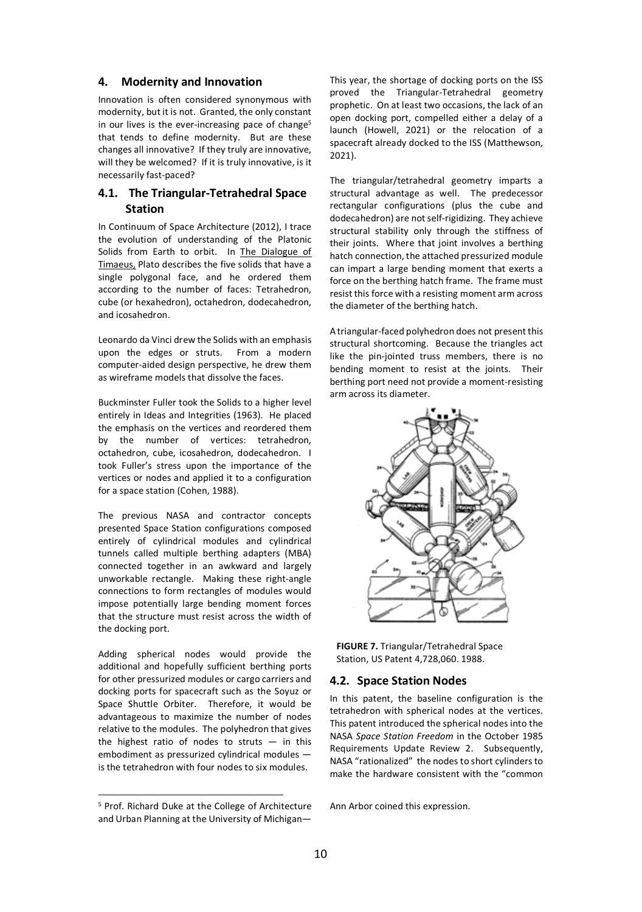#### **4. Modernity and Innovation**

Innovation is often considered synonymous with modernity, but it is not. Granted, the only constant in our lives is the ever-increasing pace of change<sup>5</sup> that tends to define modernity. But are these changes all innovative? If they truly are innovative, will they be welcomed? If it is truly innovative, is it necessarily fast-paced?

# **4.1. The Triangular-Tetrahedral Space Station**

In Continuum of Space Architecture (2012), I trace the evolution of understanding of the Platonic Solids from Earth to orbit. In The Dialogue of Timaeus, Plato describes the five solids that have a single polygonal face, and he ordered them according to the number of faces: Tetrahedron, cube (or hexahedron), octahedron, dodecahedron, and icosahedron.

Leonardo da Vinci drew the Solids with an emphasis upon the edges or struts. From a modern computer-aided design perspective, he drew them as wireframe models that dissolve the faces.

Buckminster Fuller took the Solids to a higher level entirely in Ideas and Integrities (1963). He placed the emphasis on the vertices and reordered them by the number of vertices: tetrahedron, octahedron, cube, icosahedron, dodecahedron. I took Fuller's stress upon the importance of the vertices or nodes and applied it to a configuration for a space station (Cohen, 1988).

The previous NASA and contractor concepts presented Space Station configurations composed entirely of cylindrical modules and cylindrical tunnels called multiple berthing adapters (MBA) connected together in an awkward and largely unworkable rectangle. Making these right-angle connections to form rectangles of modules would impose potentially large bending moment forces that the structure must resist across the width of the docking port.

Adding spherical nodes would provide the additional and hopefully sufficient berthing ports for other pressurized modules or cargo carriers and docking ports for spacecraft such as the Soyuz or Space Shuttle Orbiter. Therefore, it would be advantageous to maximize the number of nodes relative to the modules. The polyhedron that gives the highest ratio of nodes to struts  $-$  in this embodiment as pressurized cylindrical modules is the tetrahedron with four nodes to six modules.

This year, the shortage of docking ports on the ISS proved the Triangular-Tetrahedral geometry prophetic. On at least two occasions, the lack of an open docking port, compelled either a delay of a launch (Howell, 2021) or the relocation of a spacecraft already docked to the ISS (Matthewson, 2021).

The triangular/tetrahedral geometry imparts a structural advantage as well. The predecessor rectangular configurations (plus the cube and dodecahedron) are not self-rigidizing. They achieve structural stability only through the stiffness of their joints. Where that joint involves a berthing hatch connection, the attached pressurized module can impart a large bending moment that exerts a force on the berthing hatch frame. The frame must resist this force with a resisting moment arm across the diameter of the berthing hatch.

A triangular-faced polyhedron does not present this structural shortcoming. Because the triangles act like the pin-jointed truss members, there is no bending moment to resist at the joints. Their berthing port need not provide a moment-resisting arm across its diameter.



**FIGURE 7.** Triangular/Tetrahedral Space Station, US Patent 4,728,060. 1988.

#### **4.2. Space Station Nodes**

In this patent, the baseline configuration is the tetrahedron with spherical nodes at the vertices. This patent introduced the spherical nodes into the NASA *Space Station Freedom* in the October 1985 Requirements Update Review 2. Subsequently, NASA "rationalized" the nodes to short cylinders to make the hardware consistent with the "common

Ann Arbor coined this expression.

 <sup>5</sup> Prof. Richard Duke at the College of Architecture and Urban Planning at the University of Michigan—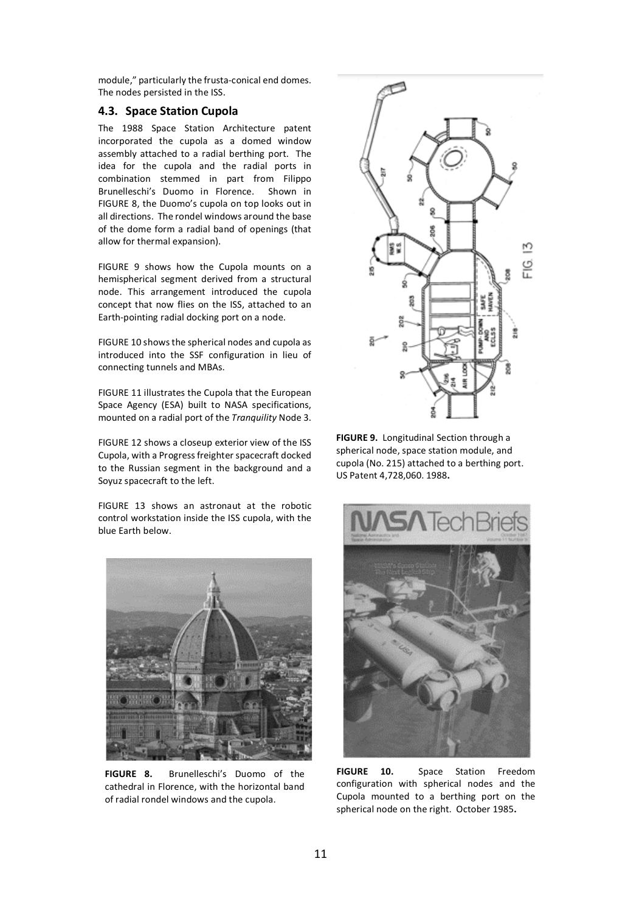module," particularly the frusta-conical end domes. The nodes persisted in the ISS.

#### **4.3. Space Station Cupola**

The 1988 Space Station Architecture patent incorporated the cupola as a domed window assembly attached to a radial berthing port. The idea for the cupola and the radial ports in combination stemmed in part from Filippo Brunelleschi's Duomo in Florence. Shown in FIGURE 8, the Duomo's cupola on top looks out in all directions. The rondel windows around the base of the dome form a radial band of openings (that allow for thermal expansion).

FIGURE 9 shows how the Cupola mounts on a hemispherical segment derived from a structural node. This arrangement introduced the cupola concept that now flies on the ISS, attached to an Earth-pointing radial docking port on a node.

FIGURE 10 shows the spherical nodes and cupola as introduced into the SSF configuration in lieu of connecting tunnels and MBAs.

FIGURE 11 illustrates the Cupola that the European Space Agency (ESA) built to NASA specifications, mounted on a radial port of the *Tranquility* Node 3.

FIGURE 12 shows a closeup exterior view of the ISS Cupola, with a Progress freighter spacecraft docked to the Russian segment in the background and a Soyuz spacecraft to the left.

FIGURE 13 shows an astronaut at the robotic control workstation inside the ISS cupola, with the blue Earth below.



**FIGURE 8.** Brunelleschi's Duomo of the cathedral in Florence, with the horizontal band of radial rondel windows and the cupola.



**FIGURE 9.** Longitudinal Section through a spherical node, space station module, and cupola (No. 215) attached to a berthing port. US Patent 4,728,060. 1988**.** 



**FIGURE 10.** Space Station Freedom configuration with spherical nodes and the Cupola mounted to a berthing port on the spherical node on the right. October 1985**.**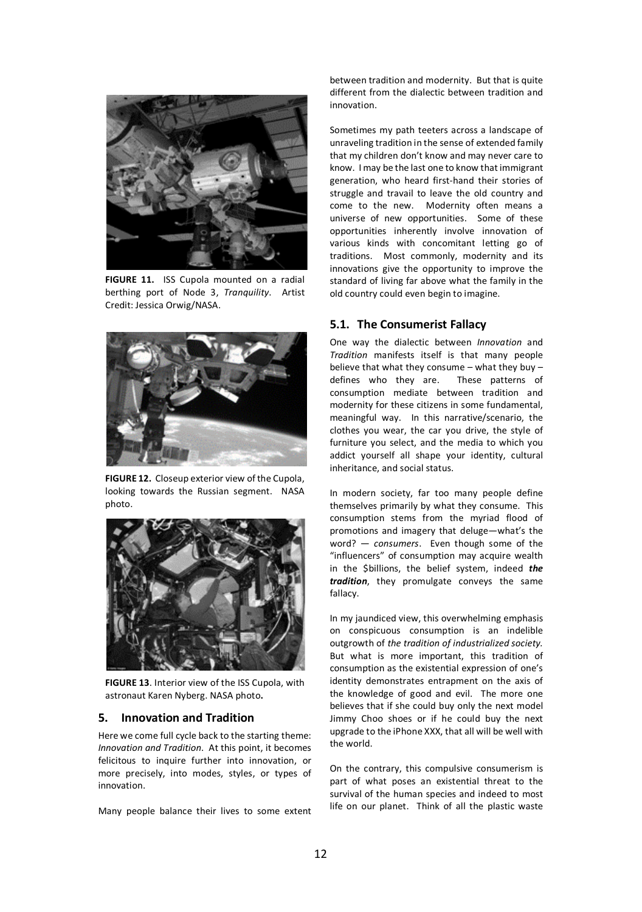

**FIGURE 11.** ISS Cupola mounted on a radial berthing port of Node 3, *Tranquility*. Artist Credit: Jessica Orwig/NASA.



**FIGURE 12.** Closeup exterior view of the Cupola, looking towards the Russian segment. NASA photo.



**FIGURE 13**. Interior view of the ISS Cupola, with astronaut Karen Nyberg. NASA photo**.**

#### **5. Innovation and Tradition**

Here we come full cycle back to the starting theme: *Innovation and Tradition*. At this point, it becomes felicitous to inquire further into innovation, or more precisely, into modes, styles, or types of innovation.

Many people balance their lives to some extent

between tradition and modernity. But that is quite different from the dialectic between tradition and innovation.

Sometimes my path teeters across a landscape of unraveling tradition in the sense of extended family that my children don't know and may never care to know. I may be the last one to know that immigrant generation, who heard first-hand their stories of struggle and travail to leave the old country and come to the new. Modernity often means a universe of new opportunities. Some of these opportunities inherently involve innovation of various kinds with concomitant letting go of traditions. Most commonly, modernity and its innovations give the opportunity to improve the standard of living far above what the family in the old country could even begin to imagine.

#### **5.1. The Consumerist Fallacy**

One way the dialectic between *Innovation* and *Tradition* manifests itself is that many people believe that what they consume – what they buy – defines who they are. These patterns of consumption mediate between tradition and modernity for these citizens in some fundamental, meaningful way. In this narrative/scenario, the clothes you wear, the car you drive, the style of furniture you select, and the media to which you addict yourself all shape your identity, cultural inheritance, and social status.

In modern society, far too many people define themselves primarily by what they consume. This consumption stems from the myriad flood of promotions and imagery that deluge—what's the word? — *consumers*. Even though some of the "influencers" of consumption may acquire wealth in the \$billions, the belief system, indeed *the tradition*, they promulgate conveys the same fallacy.

In my jaundiced view, this overwhelming emphasis on conspicuous consumption is an indelible outgrowth of *the tradition of industrialized society.* But what is more important, this tradition of consumption as the existential expression of one's identity demonstrates entrapment on the axis of the knowledge of good and evil. The more one believes that if she could buy only the next model Jimmy Choo shoes or if he could buy the next upgrade to the iPhone XXX, that all will be well with the world.

On the contrary, this compulsive consumerism is part of what poses an existential threat to the survival of the human species and indeed to most life on our planet. Think of all the plastic waste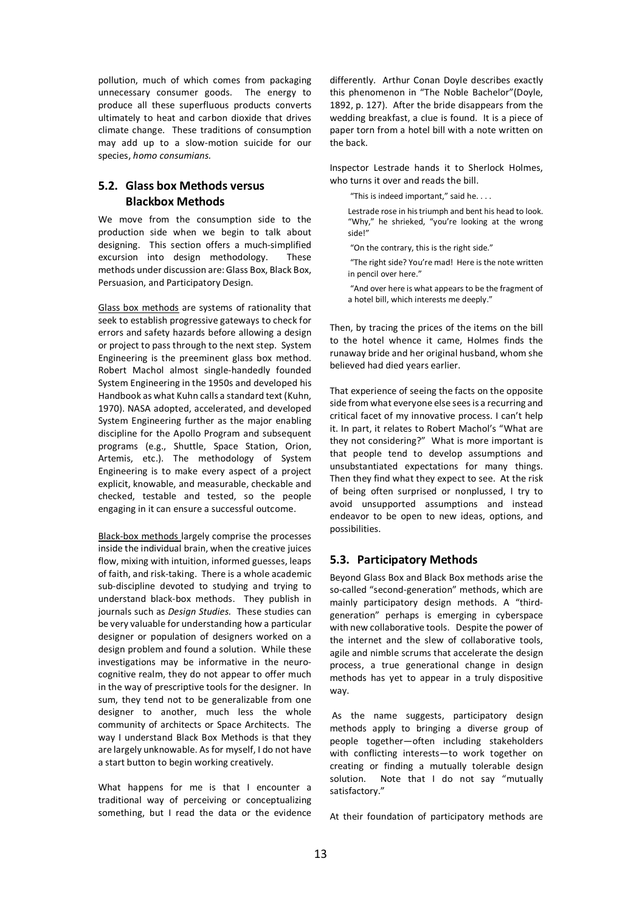pollution, much of which comes from packaging unnecessary consumer goods. The energy to produce all these superfluous products converts ultimately to heat and carbon dioxide that drives climate change. These traditions of consumption may add up to a slow-motion suicide for our species, *homo consumians.*

# **5.2. Glass box Methods versus Blackbox Methods**

We move from the consumption side to the production side when we begin to talk about designing. This section offers a much-simplified excursion into design methodology. These methods under discussion are: Glass Box, Black Box, Persuasion, and Participatory Design.

Glass box methods are systems of rationality that seek to establish progressive gateways to check for errors and safety hazards before allowing a design or project to pass through to the next step. System Engineering is the preeminent glass box method. Robert Machol almost single-handedly founded System Engineering in the 1950s and developed his Handbook as what Kuhn calls a standard text (Kuhn, 1970). NASA adopted, accelerated, and developed System Engineering further as the major enabling discipline for the Apollo Program and subsequent programs (e.g., Shuttle, Space Station, Orion, Artemis, etc.). The methodology of System Engineering is to make every aspect of a project explicit, knowable, and measurable, checkable and checked, testable and tested, so the people engaging in it can ensure a successful outcome.

Black-box methods largely comprise the processes inside the individual brain, when the creative juices flow, mixing with intuition, informed guesses, leaps of faith, and risk-taking. There is a whole academic sub-discipline devoted to studying and trying to understand black-box methods. They publish in journals such as *Design Studies.* These studies can be very valuable for understanding how a particular designer or population of designers worked on a design problem and found a solution. While these investigations may be informative in the neurocognitive realm, they do not appear to offer much in the way of prescriptive tools for the designer. In sum, they tend not to be generalizable from one designer to another, much less the whole community of architects or Space Architects. The way I understand Black Box Methods is that they are largely unknowable. As for myself, I do not have a start button to begin working creatively.

What happens for me is that I encounter a traditional way of perceiving or conceptualizing something, but I read the data or the evidence differently. Arthur Conan Doyle describes exactly this phenomenon in "The Noble Bachelor"(Doyle, 1892, p. 127). After the bride disappears from the wedding breakfast, a clue is found. It is a piece of paper torn from a hotel bill with a note written on the back.

Inspector Lestrade hands it to Sherlock Holmes, who turns it over and reads the bill.

"This is indeed important," said he. . . .

Lestrade rose in his triumph and bent his head to look. "Why," he shrieked, "you're looking at the wrong side!"

"On the contrary, this is the right side."

"The right side? You're mad! Here is the note written in pencil over here."

"And over here is what appears to be the fragment of a hotel bill, which interests me deeply."

Then, by tracing the prices of the items on the bill to the hotel whence it came, Holmes finds the runaway bride and her original husband, whom she believed had died years earlier.

That experience of seeing the facts on the opposite side from what everyone else sees is a recurring and critical facet of my innovative process. I can't help it. In part, it relates to Robert Machol's "What are they not considering?" What is more important is that people tend to develop assumptions and unsubstantiated expectations for many things. Then they find what they expect to see. At the risk of being often surprised or nonplussed, I try to avoid unsupported assumptions and instead endeavor to be open to new ideas, options, and possibilities.

# **5.3. Participatory Methods**

Beyond Glass Box and Black Box methods arise the so-called "second-generation" methods, which are mainly participatory design methods. A "thirdgeneration" perhaps is emerging in cyberspace with new collaborative tools. Despite the power of the internet and the slew of collaborative tools, agile and nimble scrums that accelerate the design process, a true generational change in design methods has yet to appear in a truly dispositive way.

As the name suggests, participatory design methods apply to bringing a diverse group of people together—often including stakeholders with conflicting interests—to work together on creating or finding a mutually tolerable design solution. Note that I do not say "mutually satisfactory."

At their foundation of participatory methods are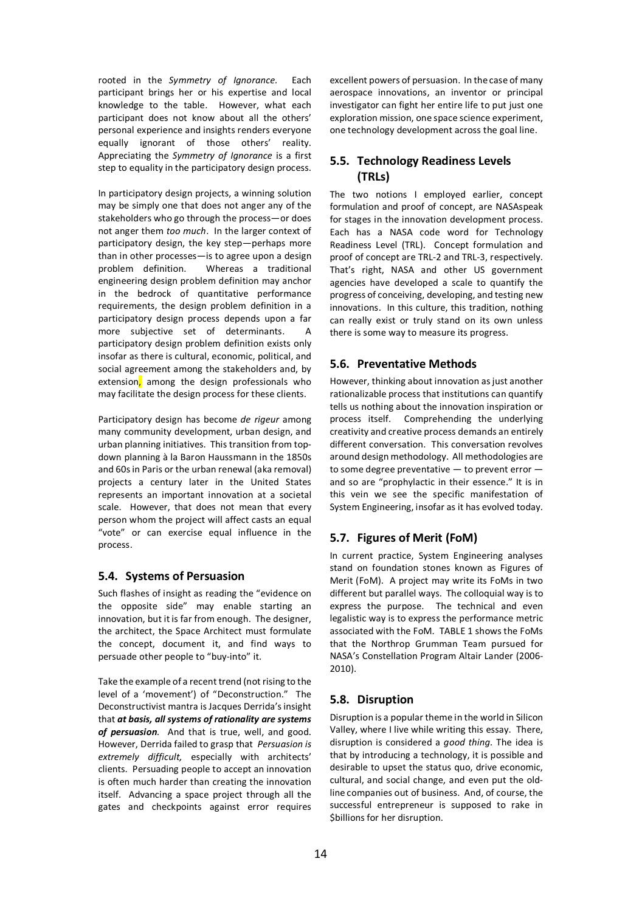rooted in the *Symmetry of Ignorance.* Each participant brings her or his expertise and local knowledge to the table. However, what each participant does not know about all the others' personal experience and insights renders everyone equally ignorant of those others' reality. Appreciating the *Symmetry of Ignorance* is a first step to equality in the participatory design process.

In participatory design projects, a winning solution may be simply one that does not anger any of the stakeholders who go through the process—or does not anger them *too much*. In the larger context of participatory design, the key step—perhaps more than in other processes—is to agree upon a design problem definition. Whereas a traditional engineering design problem definition may anchor in the bedrock of quantitative performance requirements, the design problem definition in a participatory design process depends upon a far more subjective set of determinants. A participatory design problem definition exists only insofar as there is cultural, economic, political, and social agreement among the stakeholders and, by extension, among the design professionals who may facilitate the design process for these clients.

Participatory design has become *de rigeur* among many community development, urban design, and urban planning initiatives. This transition from topdown planning à la Baron Haussmann in the 1850s and 60s in Paris or the urban renewal (aka removal) projects a century later in the United States represents an important innovation at a societal scale. However, that does not mean that every person whom the project will affect casts an equal "vote" or can exercise equal influence in the process.

# **5.4. Systems of Persuasion**

Such flashes of insight as reading the "evidence on the opposite side" may enable starting an innovation, but it is far from enough. The designer, the architect, the Space Architect must formulate the concept, document it, and find ways to persuade other people to "buy-into" it.

Take the example of a recent trend (not rising to the level of a 'movement') of "Deconstruction." The Deconstructivist mantra isJacques Derrida's insight that *at basis, all systems of rationality are systems of persuasion.* And that is true, well, and good. However, Derrida failed to grasp that *Persuasion is extremely difficult,* especially with architects' clients. Persuading people to accept an innovation is often much harder than creating the innovation itself. Advancing a space project through all the gates and checkpoints against error requires

excellent powers of persuasion. In the case of many aerospace innovations, an inventor or principal investigator can fight her entire life to put just one exploration mission, one space science experiment, one technology development across the goal line.

# **5.5. Technology Readiness Levels (TRLs)**

The two notions I employed earlier, concept formulation and proof of concept, are NASAspeak for stages in the innovation development process. Each has a NASA code word for Technology Readiness Level (TRL). Concept formulation and proof of concept are TRL-2 and TRL-3, respectively. That's right, NASA and other US government agencies have developed a scale to quantify the progress of conceiving, developing, and testing new innovations. In this culture, this tradition, nothing can really exist or truly stand on its own unless there is some way to measure its progress.

### **5.6. Preventative Methods**

However, thinking about innovation as just another rationalizable process that institutions can quantify tells us nothing about the innovation inspiration or process itself. Comprehending the underlying creativity and creative process demands an entirely different conversation. This conversation revolves around design methodology. All methodologies are to some degree preventative — to prevent error and so are "prophylactic in their essence." It is in this vein we see the specific manifestation of System Engineering, insofar as it has evolved today.

# **5.7. Figures of Merit (FoM)**

In current practice, System Engineering analyses stand on foundation stones known as Figures of Merit (FoM). A project may write its FoMs in two different but parallel ways. The colloquial way is to express the purpose. The technical and even legalistic way is to express the performance metric associated with the FoM. TABLE 1 shows the FoMs that the Northrop Grumman Team pursued for NASA's Constellation Program Altair Lander (2006- 2010).

# **5.8. Disruption**

Disruption is a popular theme in the world in Silicon Valley, where I live while writing this essay. There, disruption is considered a *good thing.* The idea is that by introducing a technology, it is possible and desirable to upset the status quo, drive economic, cultural, and social change, and even put the oldline companies out of business. And, of course, the successful entrepreneur is supposed to rake in \$billions for her disruption.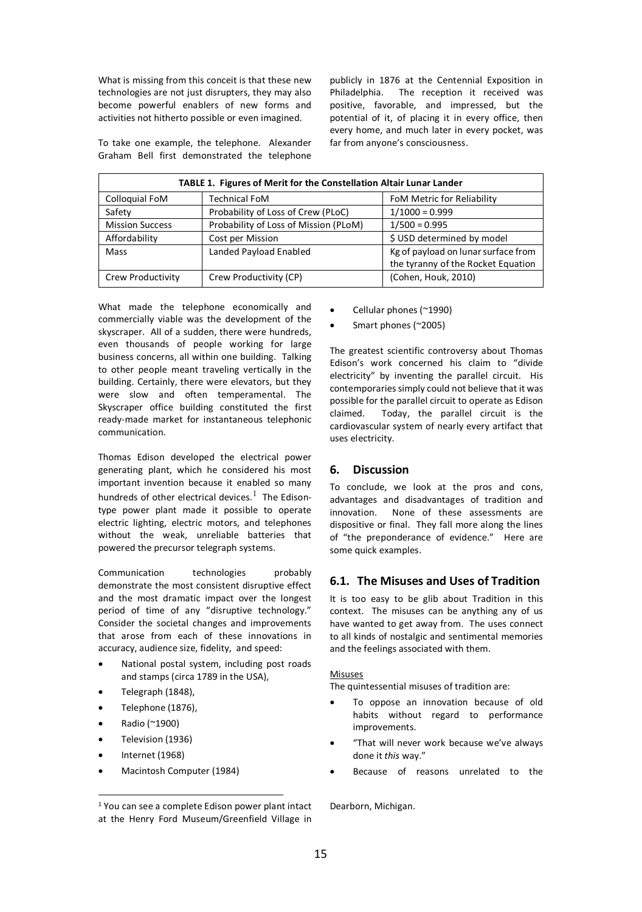What is missing from this conceit is that these new technologies are not just disrupters, they may also become powerful enablers of new forms and activities not hitherto possible or even imagined.

publicly in 1876 at the Centennial Exposition in Philadelphia. The reception it received was positive, favorable, and impressed, but the potential of it, of placing it in every office, then every home, and much later in every pocket, was far from anyone's consciousness.

To take one example, the telephone. Alexander Graham Bell first demonstrated the telephone

| TABLE 1. Figures of Merit for the Constellation Altair Lunar Lander |                                       |                                                                           |  |
|---------------------------------------------------------------------|---------------------------------------|---------------------------------------------------------------------------|--|
| Colloquial FoM                                                      | <b>Technical FoM</b>                  | FoM Metric for Reliability                                                |  |
| Safety                                                              | Probability of Loss of Crew (PLoC)    | $1/1000 = 0.999$                                                          |  |
| <b>Mission Success</b>                                              | Probability of Loss of Mission (PLoM) | $1/500 = 0.995$                                                           |  |
| Affordability                                                       | Cost per Mission                      | \$ USD determined by model                                                |  |
| Mass                                                                | Landed Payload Enabled                | Kg of payload on lunar surface from<br>the tyranny of the Rocket Equation |  |
| Crew Productivity                                                   | Crew Productivity (CP)                | (Cohen, Houk, 2010)                                                       |  |

What made the telephone economically and commercially viable was the development of the skyscraper. All of a sudden, there were hundreds, even thousands of people working for large business concerns, all within one building. Talking to other people meant traveling vertically in the building. Certainly, there were elevators, but they were slow and often temperamental. The Skyscraper office building constituted the first ready-made market for instantaneous telephonic communication.

Thomas Edison developed the electrical power generating plant, which he considered his most important invention because it enabled so many hundreds of other electrical devices. $<sup>1</sup>$  The Edison-</sup> type power plant made it possible to operate electric lighting, electric motors, and telephones without the weak, unreliable batteries that powered the precursor telegraph systems.

Communication technologies probably demonstrate the most consistent disruptive effect and the most dramatic impact over the longest period of time of any "disruptive technology." Consider the societal changes and improvements that arose from each of these innovations in accuracy, audience size, fidelity, and speed:

- National postal system, including post roads and stamps (circa 1789 in the USA),
- Telegraph (1848),
- Telephone (1876),
- Radio (~1900)
- Television (1936)
- Internet (1968)
- Macintosh Computer (1984)
- Cellular phones (~1990)
- Smart phones (~2005)

The greatest scientific controversy about Thomas Edison's work concerned his claim to "divide electricity" by inventing the parallel circuit. His contemporaries simply could not believe that it was possible for the parallel circuit to operate as Edison claimed. Today, the parallel circuit is the cardiovascular system of nearly every artifact that uses electricity.

### **6. Discussion**

To conclude, we look at the pros and cons, advantages and disadvantages of tradition and innovation. None of these assessments are dispositive or final. They fall more along the lines of "the preponderance of evidence." Here are some quick examples.

# **6.1. The Misuses and Uses of Tradition**

It is too easy to be glib about Tradition in this context. The misuses can be anything any of us have wanted to get away from. The uses connect to all kinds of nostalgic and sentimental memories and the feelings associated with them.

#### Misuses

The quintessential misuses of tradition are:

- To oppose an innovation because of old habits without regard to performance improvements.
- "That will never work because we've always done it *this* way."
- Because of reasons unrelated to the

Dearborn, Michigan.

 <sup>1</sup> You can see a complete Edison power plant intact at the Henry Ford Museum/Greenfield Village in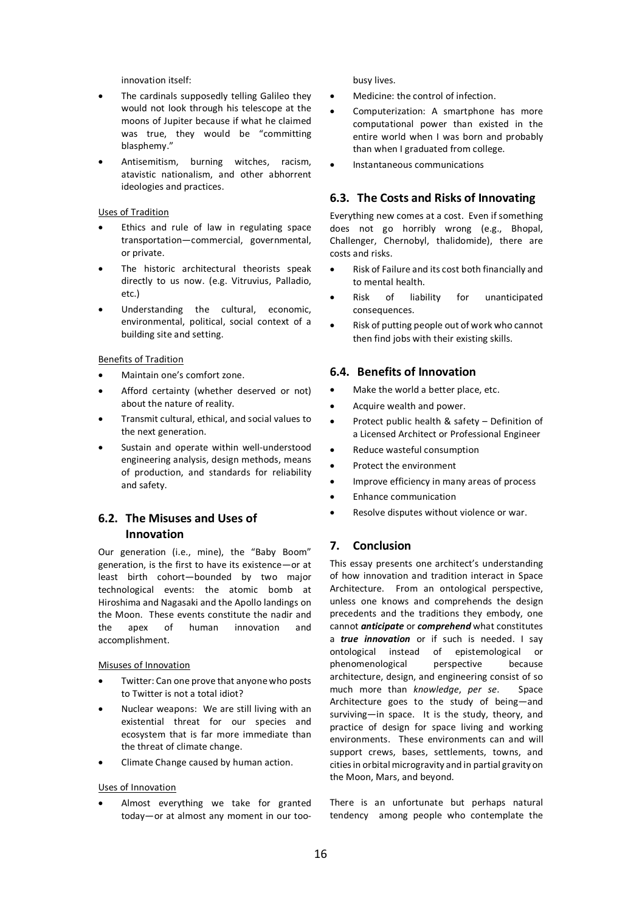innovation itself:

- The cardinals supposedly telling Galileo they would not look through his telescope at the moons of Jupiter because if what he claimed was true, they would be "committing blasphemy."
- Antisemitism, burning witches, racism, atavistic nationalism, and other abhorrent ideologies and practices.

#### Uses of Tradition

- Ethics and rule of law in regulating space transportation—commercial, governmental, or private.
- The historic architectural theorists speak directly to us now. (e.g. Vitruvius, Palladio, etc.)
- Understanding the cultural, economic, environmental, political, social context of a building site and setting.

#### Benefits of Tradition

- Maintain one's comfort zone.
- Afford certainty (whether deserved or not) about the nature of reality.
- Transmit cultural, ethical, and social values to the next generation.
- Sustain and operate within well-understood engineering analysis, design methods, means of production, and standards for reliability and safety.

# **6.2. The Misuses and Uses of Innovation**

Our generation (i.e., mine), the "Baby Boom" generation, is the first to have its existence—or at least birth cohort—bounded by two major technological events: the atomic bomb at Hiroshima and Nagasaki and the Apollo landings on the Moon. These events constitute the nadir and the apex of human innovation and accomplishment.

Misuses of Innovation

- Twitter: Can one prove that anyone who posts to Twitter is not a total idiot?
- Nuclear weapons: We are still living with an existential threat for our species and ecosystem that is far more immediate than the threat of climate change.
- Climate Change caused by human action.

#### Uses of Innovation

Almost everything we take for granted today—or at almost any moment in our toobusy lives.

- Medicine: the control of infection.
- Computerization: A smartphone has more computational power than existed in the entire world when I was born and probably than when I graduated from college.
- Instantaneous communications

# **6.3. The Costs and Risks of Innovating**

Everything new comes at a cost. Even if something does not go horribly wrong (e.g., Bhopal, Challenger, Chernobyl, thalidomide), there are costs and risks.

- Risk of Failure and its cost both financially and to mental health.
- Risk of liability for unanticipated consequences.
- Risk of putting people out of work who cannot then find jobs with their existing skills.

#### **6.4. Benefits of Innovation**

- Make the world a better place, etc.
- Acquire wealth and power.
- Protect public health & safety Definition of a Licensed Architect or Professional Engineer
- Reduce wasteful consumption
- Protect the environment
- Improve efficiency in many areas of process
- Enhance communication
- Resolve disputes without violence or war.

### **7. Conclusion**

This essay presents one architect's understanding of how innovation and tradition interact in Space Architecture. From an ontological perspective, unless one knows and comprehends the design precedents and the traditions they embody, one cannot *anticipate* or *comprehend* what constitutes a *true innovation* or if such is needed. I say ontological instead of epistemological or phenomenological perspective because architecture, design, and engineering consist of so much more than *knowledge*, *per se*. Space Architecture goes to the study of being—and surviving—in space. It is the study, theory, and practice of design for space living and working environments. These environments can and will support crews, bases, settlements, towns, and cities in orbital microgravity and in partial gravity on the Moon, Mars, and beyond.

There is an unfortunate but perhaps natural tendency among people who contemplate the